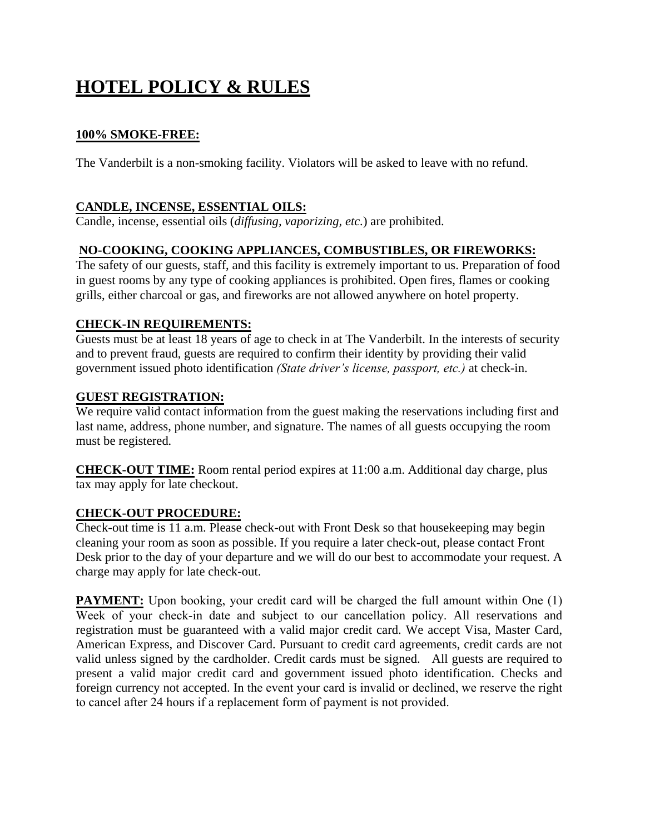# **HOTEL POLICY & RULES**

# **[100% SMOKE-FREE:](http://www.allseasonsinnandsuites.net/smoke-free-hotel.html)**

The Vanderbilt is a non-smoking facility. Violators will be asked to leave with no refund.

# **CANDLE, INCENSE, ESSENTIAL OILS:**

Candle, incense, essential oils (*diffusing, vaporizing, etc.*) are prohibited.

#### **NO-COOKING, COOKING APPLIANCES, COMBUSTIBLES, OR FIREWORKS:**

The safety of our guests, staff, and this facility is extremely important to us. Preparation of food in guest rooms by any type of cooking appliances is prohibited. Open fires, flames or cooking grills, either charcoal or gas, and fireworks are not allowed anywhere on hotel property.

# **CHECK-IN REQUIREMENTS:**

Guests must be at least 18 years of age to check in at The Vanderbilt. In the interests of security and to prevent fraud, guests are required to confirm their identity by providing their valid government issued photo identification *(State driver's license, passport, etc.)* at check-in.

#### **GUEST REGISTRATION:**

We require valid contact information from the guest making the reservations including first and last name, address, phone number, and signature. The names of all guests occupying the room must be registered*.* 

**CHECK-OUT TIME:** Room rental period expires at 11:00 a.m. Additional day charge, plus tax may apply for late checkout.

#### **CHECK-OUT PROCEDURE:**

Check-out time is 11 a.m. Please check-out with Front Desk so that housekeeping may begin cleaning your room as soon as possible. If you require a later check-out, please contact Front Desk prior to the day of your departure and we will do our best to accommodate your request. A charge may apply for late check-out.

**PAYMENT:** Upon booking, your credit card will be charged the full amount within One (1) Week of your check-in date and subject to our cancellation policy. All reservations and registration must be guaranteed with a valid major credit card. We accept Visa, Master Card, American Express, and Discover Card. Pursuant to credit card agreements, credit cards are not valid unless signed by the cardholder. Credit cards must be signed. All guests are required to present a valid major credit card and government issued photo identification. Checks and foreign currency not accepted. In the event your card is invalid or declined, we reserve the right to cancel after 24 hours if a replacement form of payment is not provided.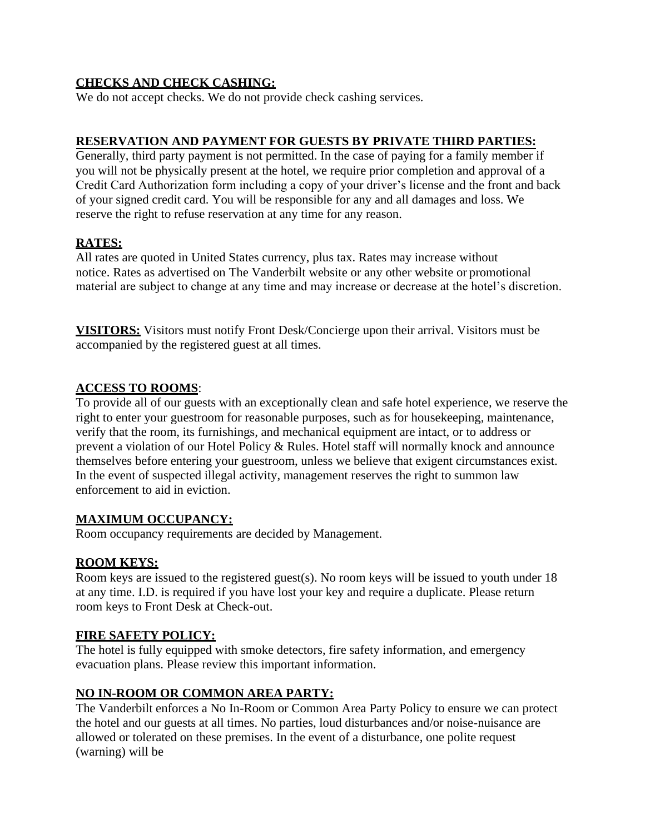# **CHECKS AND CHECK CASHING:**

We do not accept checks. We do not provide check cashing services.

# **RESERVATION AND PAYMENT FOR GUESTS BY PRIVATE THIRD PARTIES:**

Generally, third party payment is not permitted. In the case of paying for a family member if you will not be physically present at the hotel, we require prior completion and approval of a Credit Card Authorization form including a copy of your driver's license and the front and back of your signed credit card. You will be responsible for any and all damages and loss. We reserve the right to refuse reservation at any time for any reason.

#### **RATES:**

All rates are quoted in United States currency, plus tax. Rates may increase without notice. Rates as advertised on The Vanderbilt website or any other website or promotional material are subject to change at any time and may increase or decrease at the hotel's discretion.

**VISITORS:** Visitors must notify Front Desk/Concierge upon their arrival. Visitors must be accompanied by the registered guest at all times.

#### **ACCESS TO ROOMS**:

To provide all of our guests with an exceptionally clean and safe hotel experience, we reserve the right to enter your guestroom for reasonable purposes, such as for housekeeping, maintenance, verify that the room, its furnishings, and mechanical equipment are intact, or to address or prevent a violation of our Hotel Policy & Rules. Hotel staff will normally knock and announce themselves before entering your guestroom, unless we believe that exigent circumstances exist. In the event of suspected illegal activity, management reserves the right to summon law enforcement to aid in eviction.

#### **MAXIMUM OCCUPANCY:**

Room occupancy requirements are decided by Management.

#### **ROOM KEYS:**

Room keys are issued to the registered guest(s). No room keys will be issued to youth under 18 at any time. I.D. is required if you have lost your key and require a duplicate. Please return room keys to Front Desk at Check-out.

#### **FIRE SAFETY POLICY:**

The hotel is fully equipped with smoke detectors, fire safety information, and emergency evacuation plans. Please review this important information.

#### **NO IN-ROOM OR COMMON AREA PARTY:**

The Vanderbilt enforces a No In-Room or Common Area Party Policy to ensure we can protect the hotel and our guests at all times. No parties, loud disturbances and/or noise-nuisance are allowed or tolerated on these premises. In the event of a disturbance, one polite request (warning) will be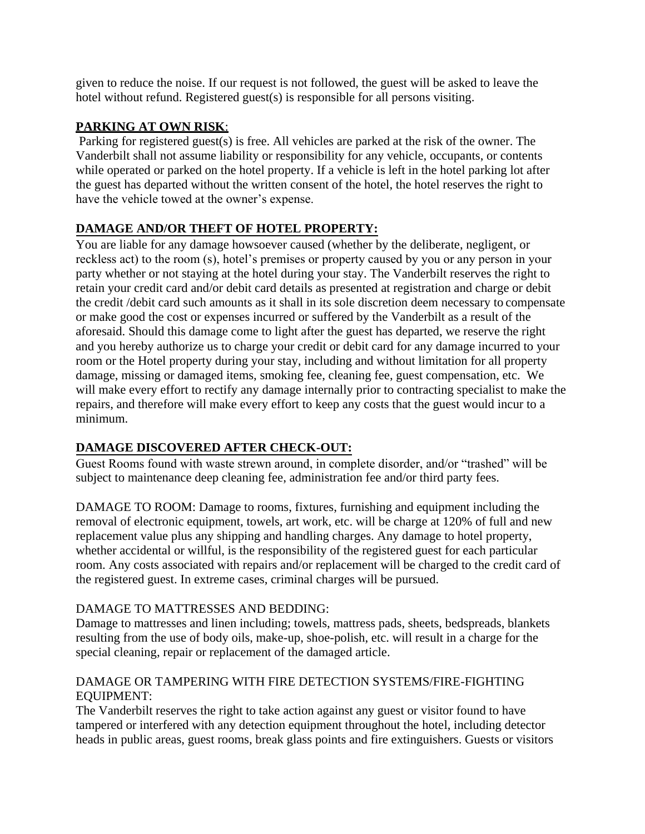given to reduce the noise. If our request is not followed, the guest will be asked to leave the hotel without refund. Registered guest(s) is responsible for all persons visiting.

# **PARKING AT OWN RISK**:

Parking for registered guest(s) is free. All vehicles are parked at the risk of the owner. The Vanderbilt shall not assume liability or responsibility for any vehicle, occupants, or contents while operated or parked on the hotel property. If a vehicle is left in the hotel parking lot after the guest has departed without the written consent of the hotel, the hotel reserves the right to have the vehicle towed at the owner's expense.

# **DAMAGE AND/OR THEFT OF HOTEL PROPERTY:**

You are liable for any damage howsoever caused (whether by the deliberate, negligent, or reckless act) to the room (s), hotel's premises or property caused by you or any person in your party whether or not staying at the hotel during your stay. The Vanderbilt reserves the right to retain your credit card and/or debit card details as presented at registration and charge or debit the credit /debit card such amounts as it shall in its sole discretion deem necessary to compensate or make good the cost or expenses incurred or suffered by the Vanderbilt as a result of the aforesaid. Should this damage come to light after the guest has departed, we reserve the right and you hereby authorize us to charge your credit or debit card for any damage incurred to your room or the Hotel property during your stay, including and without limitation for all property damage, missing or damaged items, smoking fee, cleaning fee, guest compensation, etc. We will make every effort to rectify any damage internally prior to contracting specialist to make the repairs, and therefore will make every effort to keep any costs that the guest would incur to a minimum.

# **DAMAGE DISCOVERED AFTER CHECK-OUT:**

Guest Rooms found with waste strewn around, in complete disorder, and/or "trashed" will be subject to maintenance deep cleaning fee, administration fee and/or third party fees.

DAMAGE TO ROOM: Damage to rooms, fixtures, furnishing and equipment including the removal of electronic equipment, towels, art work, etc. will be charge at 120% of full and new replacement value plus any shipping and handling charges. Any damage to hotel property, whether accidental or willful, is the responsibility of the registered guest for each particular room. Any costs associated with repairs and/or replacement will be charged to the credit card of the registered guest. In extreme cases, criminal charges will be pursued.

# DAMAGE TO MATTRESSES AND BEDDING:

Damage to mattresses and linen including; towels, mattress pads, sheets, bedspreads, blankets resulting from the use of body oils, make-up, shoe-polish, etc. will result in a charge for the special cleaning, repair or replacement of the damaged article.

# DAMAGE OR TAMPERING WITH FIRE DETECTION SYSTEMS/FIRE-FIGHTING EQUIPMENT:

The Vanderbilt reserves the right to take action against any guest or visitor found to have tampered or interfered with any detection equipment throughout the hotel, including detector heads in public areas, guest rooms, break glass points and fire extinguishers. Guests or visitors